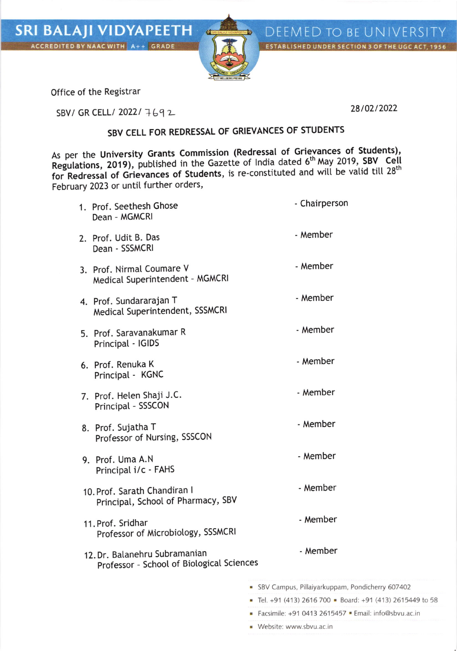



Office of the Registrar

SBV/ GR CELL/ 2022/ 7692

DEEMED TO BE UNIVERSITY ESTABLISHED UNDER SECTION 3 OF THE UGC ACT, 1956

## SBV CELL FOR REDRESSAL OF GRIEVANCES OF STUDENTS

As per the University Grants Commission (Redressal of Grievances of Students), Regulations, 2019), published in the Gazette of India dated 6<sup>th</sup> May 2019, SBV Cell for Redressal of Grievances of Students, is re-constituted and will be valid till 28<sup>th</sup> February 2023 or until further orders,

| 1. Prof. Seethesh Ghose<br>Dean - MGMCRI                                   | - Chairperson                                            |
|----------------------------------------------------------------------------|----------------------------------------------------------|
| 2. Prof. Udit B. Das<br>Dean - SSSMCRI                                     | - Member                                                 |
| 3. Prof. Nirmal Coumare V<br>Medical Superintendent - MGMCRI               | - Member                                                 |
| 4. Prof. Sundararajan T<br>Medical Superintendent, SSSMCRI                 | - Member                                                 |
| 5. Prof. Saravanakumar R<br>Principal - IGIDS                              | - Member                                                 |
| 6. Prof. Renuka K<br>Principal - KGNC                                      | - Member                                                 |
| 7. Prof. Helen Shaji J.C.<br>Principal - SSSCON                            | - Member                                                 |
| 8. Prof. Sujatha T<br>Professor of Nursing, SSSCON                         | - Member                                                 |
| 9. Prof. Uma A.N<br>Principal i/c - FAHS                                   | - Member                                                 |
| 10. Prof. Sarath Chandiran I<br>Principal, School of Pharmacy, SBV         | - Member                                                 |
| 11. Prof. Sridhar<br>Professor of Microbiology, SSSMCRI                    | - Member                                                 |
| 12. Dr. Balanehru Subramanian<br>Professor - School of Biological Sciences | - Member                                                 |
|                                                                            | · SBV Campus, Pillaiyarkuppam, Pondicherry 607402        |
|                                                                            | Tel. +91 (413) 2616 700 · Board: +91 (413) 2615449 to 58 |
|                                                                            |                                                          |

- Facsimile: +91 0413 2615457  $\blacksquare$  Email: info@sbvu.ac.in
- . Website:www.sbvu.ac.in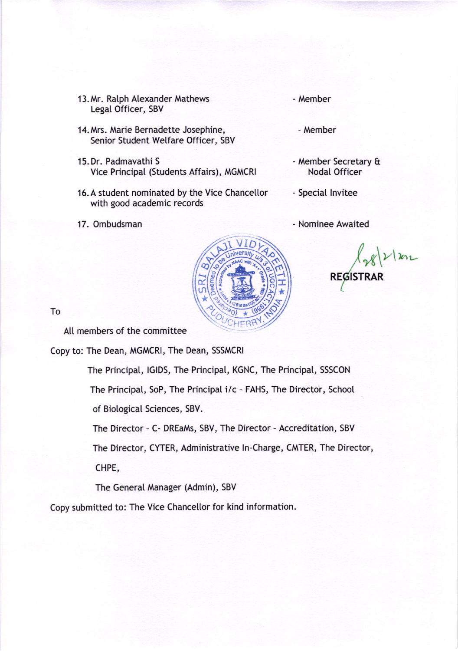- 13. Mr. Ralph Alexander Mathews Legat Officer, SBV
- 14. Mrs. Marie Bernadette Josephine, Senior Student Wetfare Officer, SBV
- 15.Dr. Padmavathi <sup>S</sup> Vice Principal (Students Affairs), MGMCRI
- 16. A student nominated by the Vice Chancellor with good academic records
- 17. Ombudsman

- Member

- Member

- Member Secretary & NodaI Officer
- Special lnvitee

- Nominee Awaited

': iD - \*  $\omega$ d (၈ \* **CHER** \* .\ o  $\hat{\mathcal{E}}$ c' o o o

REGISTRAR  $\nu\vert_{\ln}$ 

To

All members of the committee

Copy to: The Dean, MGMCRI, The Dean, SSSMCRI

The Principal, lGlDS, The Principat, KGNC, The Principal, SSSCON

The Principat, SoP, The Principal i/c - FAHS, The Director, School

of BiologicaI Sciences, 5BV.

The Director - C- DREaMs, SBV, The Director - Accreditation, SBV

The Director, CYTER, Administrative ln-Charge, CMTER, The Director,

CHPE,

The General Manager (Admin), SBV

Copy submitted to: The Vice Chancellor for kind information.